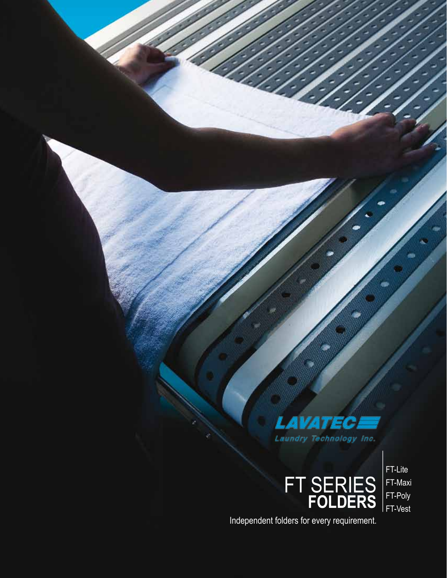



FT-Lite FT-Maxi FT-Poly FT-Vest

Independent folders for every requirement.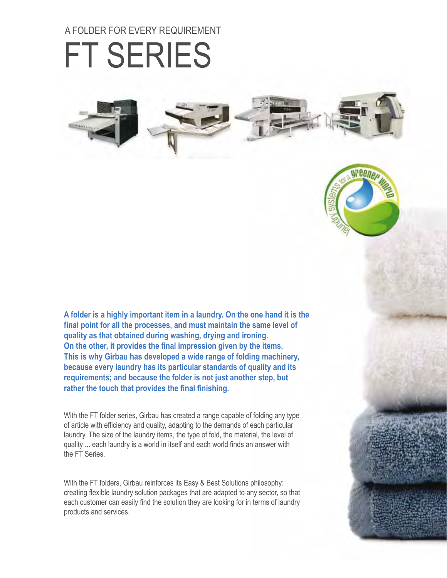FT SERIES A FOLDER FOR EVERY REQUIREMENT





**A folder is a highly important item in a laundry. On the one hand it is the final point for all the processes, and must maintain the same level of quality as that obtained during washing, drying and ironing. On the other, it provides the final impression given by the items. This is why Girbau has developed a wide range of folding machinery, because every laundry has its particular standards of quality and its requirements; and because the folder is not just another step, but rather the touch that provides the final finishing.**

With the FT folder series, Girbau has created a range capable of folding any type of article with efficiency and quality, adapting to the demands of each particular laundry. The size of the laundry items, the type of fold, the material, the level of quality ... each laundry is a world in itself and each world finds an answer with the FT Series.

With the FT folders, Girbau reinforces its Easy & Best Solutions philosophy: creating flexible laundry solution packages that are adapted to any sector, so that each customer can easily find the solution they are looking for in terms of laundry products and services.

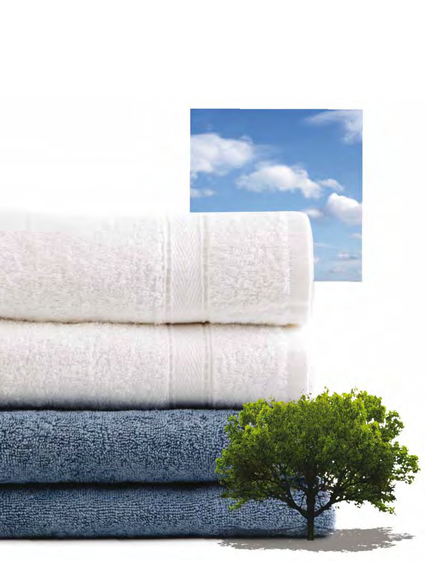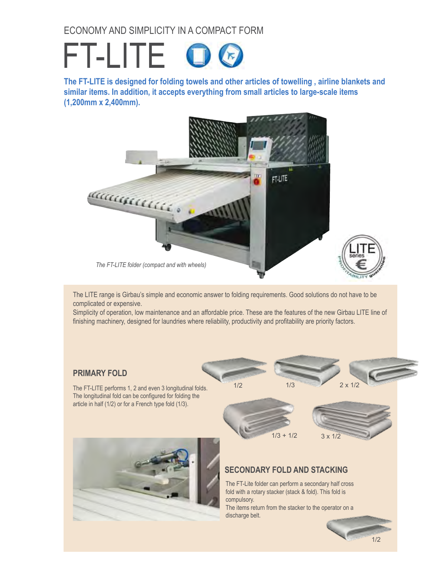ECONOMY AND SIMPLICITY IN A COMPACT FORM

# FT-LITE<sup>(</sup>

**The FT-LITE is designed for folding towels and other articles of towelling , airline blankets and similar items. In addition, it accepts everything from small articles to large-scale items (1,200mm x 2,400mm).**



The LITE range is Girbau's simple and economic answer to folding requirements. Good solutions do not have to be complicated or expensive.

Simplicity of operation, low maintenance and an affordable price. These are the features of the new Girbau LITE line of finishing machinery, designed for laundries where reliability, productivity and profitability are priority factors.



#### **SECONDARY FOLD AND STACKING**

The FT-Lite folder can perform a secondary half cross fold with a rotary stacker (stack & fold). This fold is The items return from the stacker to the operator on a

discharge belt.

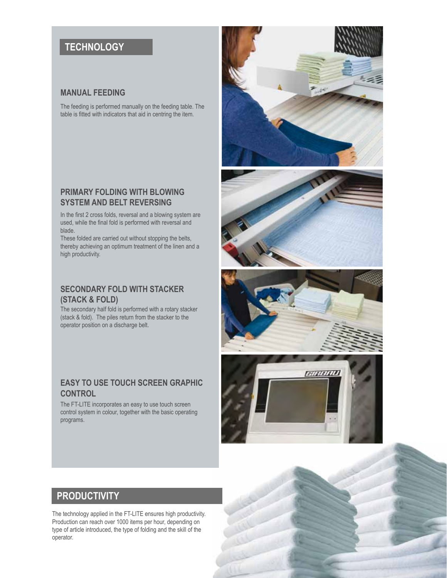## **TECHNOLOGY**

#### **MANUAL FEEDING**

The feeding is performed manually on the feeding table. The table is ftted with indicators that aid in centring the item.

#### **PRIMARY FOLDING WITH BLOWING SYSTEM AND BELT REVERSING**

In the first 2 cross folds, reversal and a blowing system are used, while the fnal fold is performed with reversal and blade.

These folded are carried out without stopping the belts, thereby achieving an optimum treatment of the linen and a high productivity.

#### **SECONDARY FOLD WITH STACKER (STACK & FOLD)**

The secondary half fold is performed with a rotary stacker (stack & fold). The piles return from the stacker to the operator position on a discharge belt.

#### **EASY TO USE TOUCH SCREEN GRAPHIC CONTROL**

The FT-LITE incorporates an easy to use touch screen control system in colour, together with the basic operating programs.









### **PRODUCTIVITY**

The technology applied in the FT-LITE ensures high productivity. Production can reach over 1000 items per hour, depending on type of article introduced, the type of folding and the skill of the operator.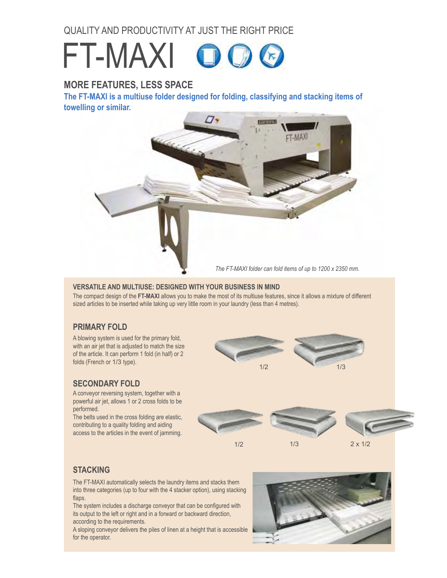QUALITY AND PRODUCTIVITY AT JUST THE RIGHT PRICE

## FT-MAXI OOG

### **MORE FEATURES, LESS SPACE**

**The FT-MAXI is a multiuse folder designed for folding, classifying and stacking items of towelling or similar.**



#### **VERSATILE AND MULTIUSE: DESIGNED WITH YOUR BUSINESS IN MIND**

The compact design of the **FT-MAXI** allows you to make the most of its multiuse features, since it allows a mixture of different sized articles to be inserted while taking up very little room in your laundry (less than 4 metres).

#### **PRIMARY FOLD**

A blowing system is used for the primary fold, with an air jet that is adjusted to match the size of the article. It can perform 1 fold (in half) or 2 folds (French or 1/3 type).





#### **SECONDARY FOLD**

A conveyor reversing system, together with a powerful air jet, allows 1 or 2 cross folds to be performed.

The belts used in the cross folding are elastic, contributing to a quality folding and aiding access to the articles in the event of jamming.





The FT-MAXI automatically selects the laundry items and stacks them into three categories (up to four with the 4 stacker option), using stacking flaps.

The system includes a discharge conveyor that can be configured with its output to the left or right and in a forward or backward direction, according to the requirements.

A sloping conveyor delivers the piles of linen at a height that is accessible for the operator.

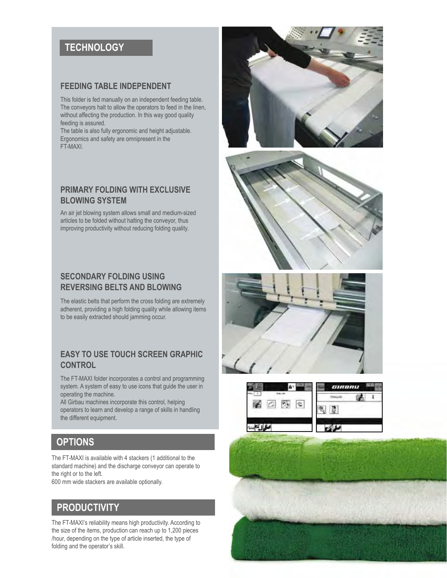## **TECHNOLOGY**

#### **FEEDING TABLE INDEPENDENT**

This folder is fed manually on an independent feeding table. The conveyors halt to allow the operators to feed in the linen, without affecting the production. In this way good quality feeding is assured.

The table is also fully ergonomic and height adjustable. Ergonomics and safety are omnipresent in the FT-MAXI.

#### **PRIMARY FOLDING WITH EXCLUSIVE BLOWING SYSTEM**

An air jet blowing system allows small and medium-sized articles to be folded without halting the conveyor, thus improving productivity without reducing folding quality.

#### **SECONDARY FOLDING USING REVERSING BELTS AND BLOWING**

The elastic belts that perform the cross folding are extremely adherent, providing a high folding quality while allowing items to be easily extracted should jamming occur.

#### **EASY TO USE TOUCH SCREEN GRAPHIC CONTROL**

The FT-MAXI folder incorporates a control and programming system. A system of easy to use icons that guide the user in operating the machine.

All Girbau machines incorporate this control, helping operators to learn and develop a range of skills in handling the different equipment.

## **OPTIONS**

The FT-MAXI is available with 4 stackers (1 additional to the standard machine) and the discharge conveyor can operate to the right or to the left.

600 mm wide stackers are available optionally.

## **PRODUCTIVITY**

The FT-MAXI's reliability means high productivity. According to the size of the items, production can reach up to 1,200 pieces /hour, depending on the type of article inserted, the type of folding and the operator's skill.